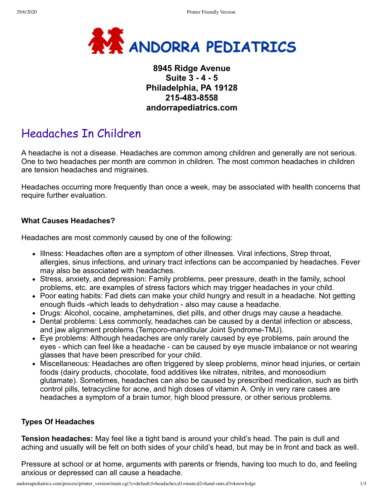

## **8945 Ridge Avenue Suite 3 - 4 - 5 Philadelphia, PA 19128 215-483-8558 andorrapediatrics.com**

# Headaches In Children

A headache is not a disease. Headaches are common among children and generally are not serious. One to two headaches per month are common in children. The most common headaches in children are tension headaches and migraines.

Headaches occurring more frequently than once a week, may be associated with health concerns that require further evaluation.

#### **What Causes Headaches?**

Headaches are most commonly caused by one of the following:

- Illness: Headaches often are a symptom of other illnesses. Viral infections, Strep throat, allergies, sinus infections, and urinary tract infections can be accompanied by headaches. Fever may also be associated with headaches.
- Stress, anxiety, and depression: Family problems, peer pressure, death in the family, school problems, etc. are examples of stress factors which may trigger headaches in your child.
- Poor eating habits: Fad diets can make your child hungry and result in a headache. Not getting enough fluids -which leads to dehydration - also may cause a headache.
- Drugs: Alcohol, cocaine, amphetamines, diet pills, and other drugs may cause a headache.
- Dental problems: Less commonly, headaches can be caused by a dental infection or abscess, and jaw alignment problems (Temporo-mandibular Joint Syndrome-TMJ).
- Eye problems: Although headaches are only rarely caused by eye problems, pain around the eyes - which can feel like a headache - can be caused by eye muscle imbalance or not wearing glasses that have been prescribed for your child.
- Miscellaneous: Headaches are often triggered by sleep problems, minor head injuries, or certain foods (dairy products, chocolate, food additives like nitrates, nitrites, and monosodium glutamate). Sometimes, headaches can also be caused by prescribed medication, such as birth control pills, tetracycline for acne, and high doses of vitamin A. Only in very rare cases are headaches a symptom of a brain tumor, high blood pressure, or other serious problems.

#### **Types Of Headaches**

**Tension headaches:** May feel like a tight band is around your child's head. The pain is dull and aching and usually will be felt on both sides of your child's head, but may be in front and back as well.

Pressure at school or at home, arguments with parents or friends, having too much to do, and feeling anxious or depressed can all cause a headache.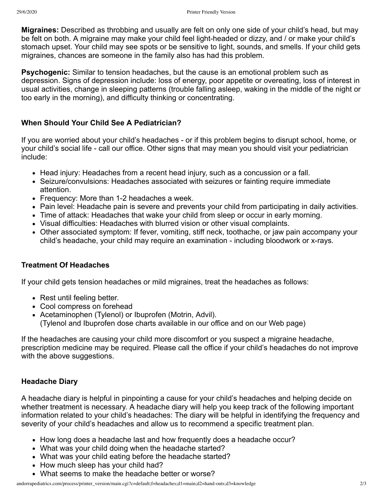**Migraines:** Described as throbbing and usually are felt on only one side of your child's head, but may be felt on both. A migraine may make your child feel light-headed or dizzy, and / or make your child's stomach upset. Your child may see spots or be sensitive to light, sounds, and smells. If your child gets migraines, chances are someone in the family also has had this problem.

**Psychogenic:** Similar to tension headaches, but the cause is an emotional problem such as depression. Signs of depression include: loss of energy, poor appetite or overeating, loss of interest in usual activities, change in sleeping patterns (trouble falling asleep, waking in the middle of the night or too early in the morning), and difficulty thinking or concentrating.

### **When Should Your Child See A Pediatrician?**

If you are worried about your child's headaches - or if this problem begins to disrupt school, home, or your child's social life - call our office. Other signs that may mean you should visit your pediatrician include:

- Head injury: Headaches from a recent head injury, such as a concussion or a fall.
- Seizure/convulsions: Headaches associated with seizures or fainting require immediate attention.
- Frequency: More than 1-2 headaches a week.
- Pain level: Headache pain is severe and prevents your child from participating in daily activities.
- Time of attack: Headaches that wake your child from sleep or occur in early morning.
- Visual difficulties: Headaches with blurred vision or other visual complaints.
- Other associated symptom: If fever, vomiting, stiff neck, toothache, or jaw pain accompany your child's headache, your child may require an examination - including bloodwork or x-rays.

## **Treatment Of Headaches**

If your child gets tension headaches or mild migraines, treat the headaches as follows:

- Rest until feeling better.
- Cool compress on forehead
- Acetaminophen (Tylenol) or Ibuprofen (Motrin, Advil). (Tylenol and Ibuprofen dose charts available in our office and on our Web page)

If the headaches are causing your child more discomfort or you suspect a migraine headache, prescription medicine may be required. Please call the office if your child's headaches do not improve with the above suggestions.

## **Headache Diary**

A headache diary is helpful in pinpointing a cause for your child's headaches and helping decide on whether treatment is necessary. A headache diary will help you keep track of the following important information related to your child's headaches: The diary will be helpful in identifying the frequency and severity of your child's headaches and allow us to recommend a specific treatment plan.

- How long does a headache last and how frequently does a headache occur?
- What was your child doing when the headache started?
- What was your child eating before the headache started?
- How much sleep has your child had?
- What seems to make the headache better or worse?